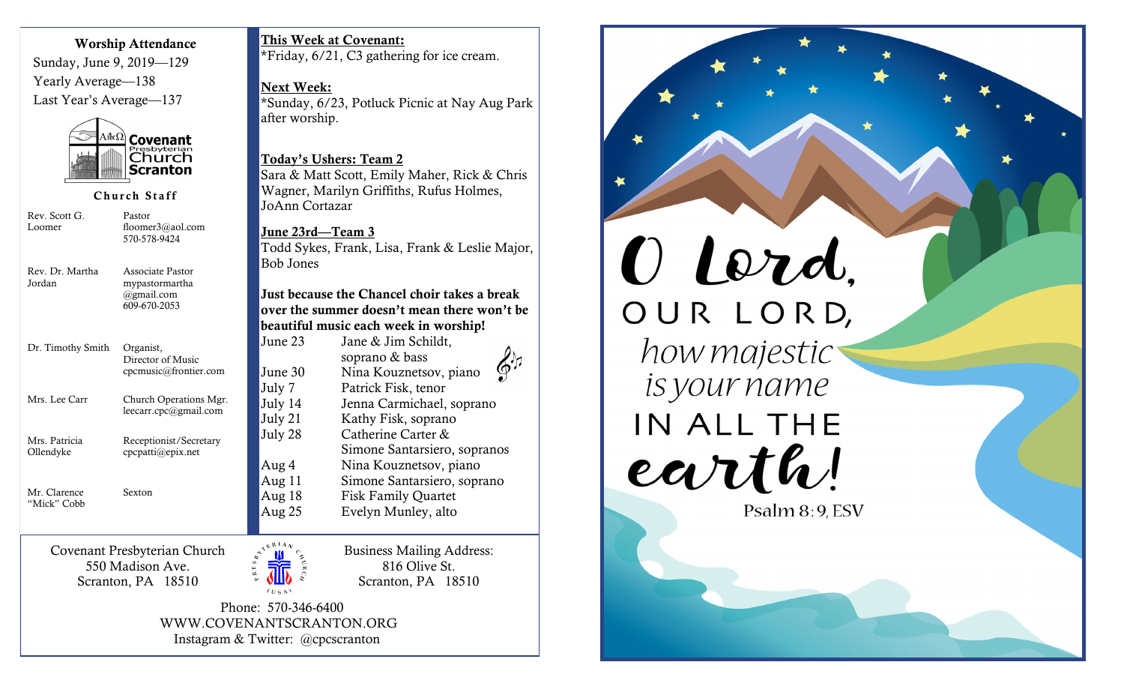#### **Worship Attendance**

Sunday, June 9, 2019—129 Yearly Average—138 Last Year's Average—137



**Church Staff** 

| Rev. Scott G.<br>Loomer     | Pastor<br>floomer3@aol.com<br>570-578-9424                       |
|-----------------------------|------------------------------------------------------------------|
| Rev. Dr. Martha<br>Jordan   | Associate Pastor<br>mypastormartha<br>@gmail.com<br>609-670-2053 |
| Dr. Timothy Smith           | Organist,<br>Director of Music<br>cpcmusic@frontier.com          |
| Mrs. Lee Carr               | Church Operations Mgr.<br>leccarr.cpc@gmail.com                  |
| Mrs. Patricia<br>Ollendyke  | Receptionist/Secretary<br>$cpc$ patti $(a)$ epix.net             |
| Mr. Clarence<br>"Mick" Cobb | Sexton                                                           |

Covenant Presbyterian Church 550 Madison Ave. Scranton, PA 18510

**This Week at Covenant:**

\*Friday, 6/21, C3 gathering for ice cream.

#### **Next Week:**

\*Sunday, 6/23, Potluck Picnic at Nay Aug Park after worship.

### **Today's Ushers: Team 2**

Sara & Matt Scott, Emily Maher, Rick & Chris Wagner, Marilyn Griffiths, Rufus Holmes, JoAnn Cortazar

**June 23rd—Team 3** Todd Sykes, Frank, Lisa, Frank & Leslie Major, Bob Jones

**Just because the Chancel choir takes a break over the summer doesn't mean there won't be beautiful music each week in worship!**



Business Mailing Address: 816 Olive St. Scranton, PA 18510

 Phone: 570-346-6400 WWW.COVENANTSCRANTON.ORG Instagram & Twitter: @cpcscranton

**ANTIFRANCE** 

 $(n e \lambda)$ 

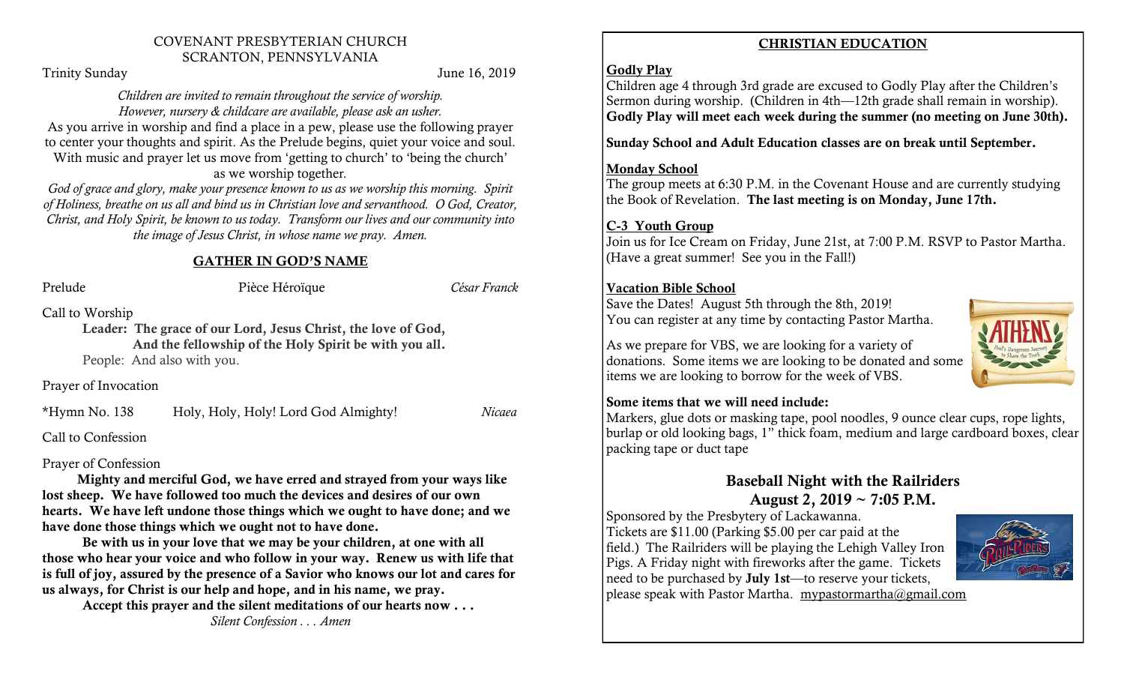### COVENANT PRESBYTERIAN CHURCH SCRANTON, PENNSYLVANIA

Trinity Sunday June 16, 2019

## *Children are invited to remain throughout the service of worship. However, nursery & childcare are available, please ask an usher.*

As you arrive in worship and find a place in a pew, please use the following prayer to center your thoughts and spirit. As the Prelude begins, quiet your voice and soul. With music and prayer let us move from 'getting to church' to 'being the church'

as we worship together*.*

*God of grace and glory, make your presence known to us as we worship this morning. Spirit of Holiness, breathe on us all and bind us in Christian love and servanthood. O God, Creator, Christ, and Holy Spirit, be known to us today. Transform our lives and our community into the image of Jesus Christ, in whose name we pray. Amen.*

## **GATHER IN GOD'S NAME**

Prelude Pièce Héroïque *César Franck*

Call to Worship

**Leader: The grace of our Lord, Jesus Christ, the love of God, And the fellowship of the Holy Spirit be with you all.**  People: And also with you.

Prayer of Invocation

\*Hymn No. 138 Holy, Holy, Holy! Lord God Almighty! *Nicaea*

Call to Confession

## Prayer of Confession

 **Mighty and merciful God, we have erred and strayed from your ways like lost sheep. We have followed too much the devices and desires of our own hearts. We have left undone those things which we ought to have done; and we have done those things which we ought not to have done.**

**Be with us in your love that we may be your children, at one with all those who hear your voice and who follow in your way. Renew us with life that is full of joy, assured by the presence of a Savior who knows our lot and cares for us always, for Christ is our help and hope, and in his name, we pray.**

**Accept this prayer and the silent meditations of our hearts now . . .**

*Silent Confession . . . Amen*

## **CHRISTIAN EDUCATION**

## **Godly Play**

Children age 4 through 3rd grade are excused to Godly Play after the Children's Sermon during worship. (Children in 4th—12th grade shall remain in worship). **Godly Play will meet each week during the summer (no meeting on June 30th).**

**Sunday School and Adult Education classes are on break until September.**

## **Monday School**

The group meets at 6:30 P.M. in the Covenant House and are currently studying the Book of Revelation. **The last meeting is on Monday, June 17th.**

## **C-3 Youth Group**

Join us for Ice Cream on Friday, June 21st, at 7:00 P.M. RSVP to Pastor Martha. (Have a great summer! See you in the Fall!)

## **Vacation Bible School**

Save the Dates! August 5th through the 8th, 2019! You can register at any time by contacting Pastor Martha.

As we prepare for VBS, we are looking for a variety of donations. Some items we are looking to be donated and some items we are looking to borrow for the week of VBS.



## **Some items that we will need include:**

Markers, glue dots or masking tape, pool noodles, 9 ounce clear cups, rope lights, burlap or old looking bags, 1" thick foam, medium and large cardboard boxes, clear packing tape or duct tape

## **Baseball Night with the Railriders August 2, 2019 ~ 7:05 P.M.**

Sponsored by the Presbytery of Lackawanna. Tickets are \$11.00 (Parking \$5.00 per car paid at the field.) The Railriders will be playing the Lehigh Valley Iron Pigs. A Friday night with fireworks after the game. Tickets need to be purchased by **July 1st**—to reserve your tickets, please speak with Pastor Martha. [mypastormartha@gmail.com](mailto:mypastormartha@gmail.com)

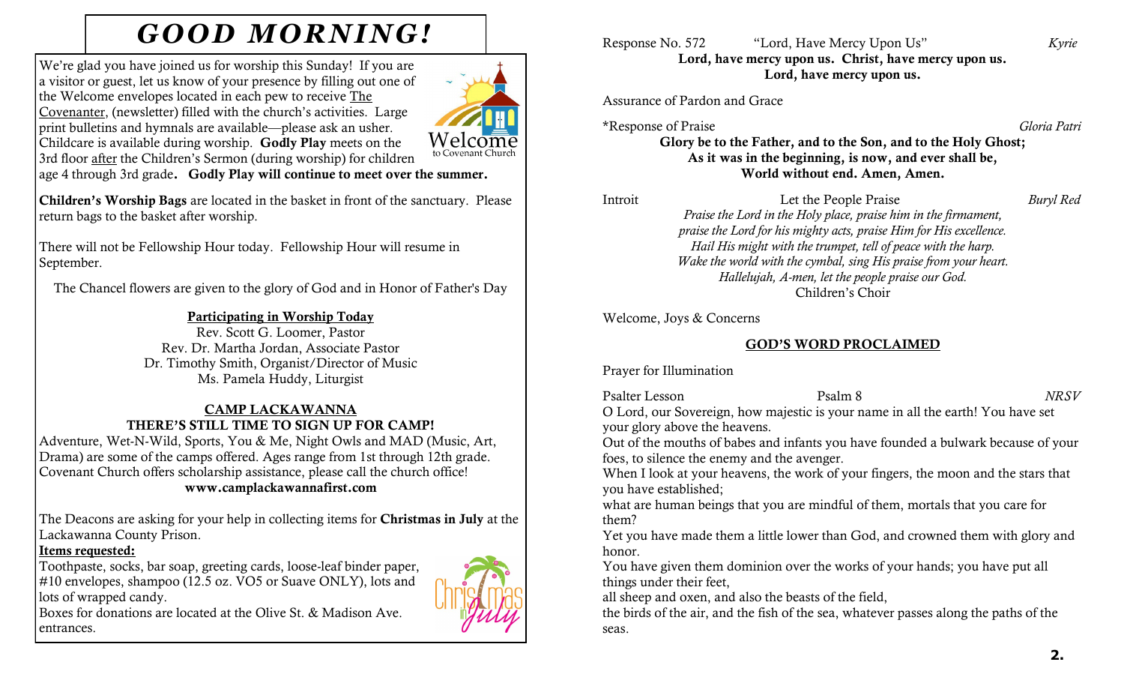# **GOOD MORNING!**<br>Response No. 572 "Lord, Have Mercy Upon Us" *Kyrie*

We're glad you have joined us for worship this Sunday! If you are a visitor or guest, let us know of your presence by filling out one of the Welcome envelopes located in each pew to receive The Covenanter, (newsletter) filled with the church's activities. Large print bulletins and hymnals are available—please ask an usher. Childcare is available during worship. **Godly Play** meets on the 3rd floor after the Children's Sermon (during worship) for children



age 4 through 3rd grade**. Godly Play will continue to meet over the summer.**

**Children's Worship Bags** are located in the basket in front of the sanctuary. Please return bags to the basket after worship.

There will not be Fellowship Hour today. Fellowship Hour will resume in September.

The Chancel flowers are given to the glory of God and in Honor of Father's Day

## **Participating in Worship Today**

Rev. Scott G. Loomer, Pastor Rev. Dr. Martha Jordan, Associate Pastor Dr. Timothy Smith, Organist/Director of Music Ms. Pamela Huddy, Liturgist

## **CAMP LACKAWANNA THERE'S STILL TIME TO SIGN UP FOR CAMP!**

Adventure, Wet-N-Wild, Sports, You & Me, Night Owls and MAD (Music, Art, Drama) are some of the camps offered. Ages range from 1st through 12th grade. Covenant Church offers scholarship assistance, please call the church office! **www.camplackawannafirst.com**

The Deacons are asking for your help in collecting items for **Christmas in July** at the Lackawanna County Prison.

#### **Items requested:**

Toothpaste, socks, bar soap, greeting cards, loose-leaf binder paper, #10 envelopes, shampoo (12.5 oz. VO5 or Suave ONLY), lots and lots of wrapped candy.



Boxes for donations are located at the Olive St. & Madison Ave. entrances.

## **Lord, have mercy upon us. Christ, have mercy upon us. Lord, have mercy upon us.**

Assurance of Pardon and Grace

\*Response of Praise *Gloria Patri*

## **Glory be to the Father, and to the Son, and to the Holy Ghost; As it was in the beginning, is now, and ever shall be, World without end. Amen, Amen.**

Introit Let the People Praise *Buryl Red Praise the Lord in the Holy place, praise him in the firmament, praise the Lord for his mighty acts, praise Him for His excellence. Hail His might with the trumpet, tell of peace with the harp. Wake the world with the cymbal, sing His praise from your heart. Hallelujah, A-men, let the people praise our God.* Children's Choir

Welcome, Joys & Concerns

## **GOD'S WORD PROCLAIMED**

Prayer for Illumination

Psalter Lesson Psalm 8 *NRSV*

O Lord, our Sovereign, how majestic is your name in all the earth! You have set your glory above the heavens.

Out of the mouths of babes and infants you have founded a bulwark because of your foes, to silence the enemy and the avenger.

When I look at your heavens, the work of your fingers, the moon and the stars that you have established;

what are human beings that you are mindful of them, mortals that you care for them?

Yet you have made them a little lower than God, and crowned them with glory and honor.

You have given them dominion over the works of your hands; you have put all things under their feet,

all sheep and oxen, and also the beasts of the field,

the birds of the air, and the fish of the sea, whatever passes along the paths of the seas.